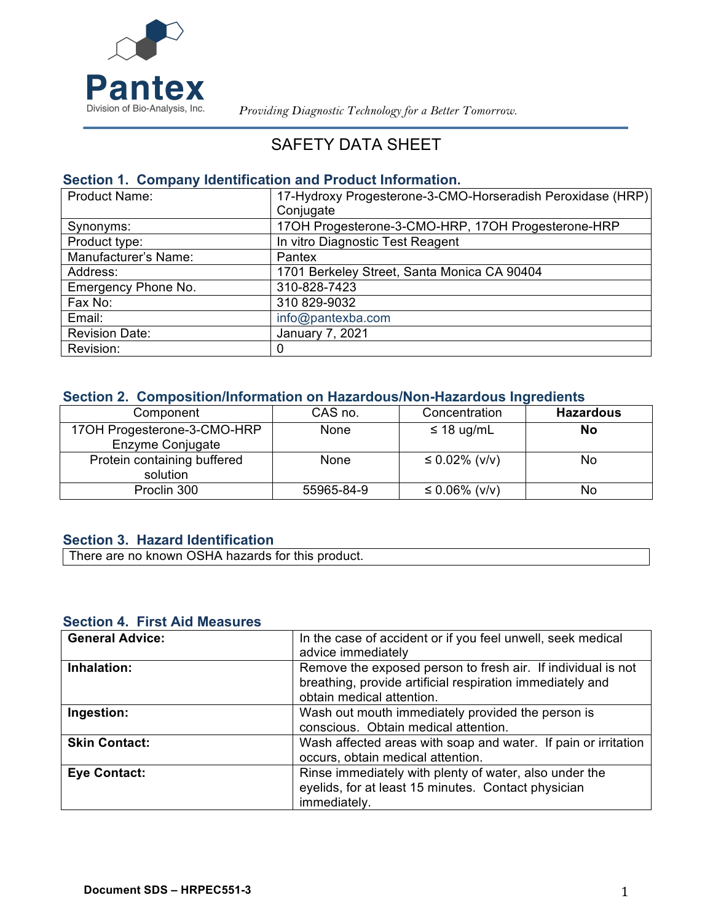

 *Providing Diagnostic Technology for a Better Tomorrow.*

# SAFETY DATA SHEET

### **Section 1. Company Identification and Product Information.**

| <b>Product Name:</b>  | 17-Hydroxy Progesterone-3-CMO-Horseradish Peroxidase (HRP) |
|-----------------------|------------------------------------------------------------|
|                       | Conjugate                                                  |
| Synonyms:             | 17OH Progesterone-3-CMO-HRP, 17OH Progesterone-HRP         |
| Product type:         | In vitro Diagnostic Test Reagent                           |
| Manufacturer's Name:  | Pantex                                                     |
| Address:              | 1701 Berkeley Street, Santa Monica CA 90404                |
| Emergency Phone No.   | 310-828-7423                                               |
| Fax No:               | 310 829-9032                                               |
| Email:                | info@pantexba.com                                          |
| <b>Revision Date:</b> | January 7, 2021                                            |
| Revision:             | $\Omega$                                                   |

### **Section 2. Composition/Information on Hazardous/Non-Hazardous Ingredients**

| Component                                       | CAS no.    | Concentration     | <b>Hazardous</b> |
|-------------------------------------------------|------------|-------------------|------------------|
| 17OH Progesterone-3-CMO-HRP<br>Enzyme Conjugate | None       | $\leq$ 18 ug/mL   | No               |
| Protein containing buffered<br>solution         | None       | ≤ 0.02% ( $v/v$ ) | No               |
| Proclin 300                                     | 55965-84-9 | ≤ 0.06% ( $v/v$ ) | No               |

### **Section 3. Hazard Identification**

There are no known OSHA hazards for this product.

#### **Section 4. First Aid Measures**

| <b>General Advice:</b> | In the case of accident or if you feel unwell, seek medical<br>advice immediately                                                                      |
|------------------------|--------------------------------------------------------------------------------------------------------------------------------------------------------|
| Inhalation:            | Remove the exposed person to fresh air. If individual is not<br>breathing, provide artificial respiration immediately and<br>obtain medical attention. |
| Ingestion:             | Wash out mouth immediately provided the person is<br>conscious. Obtain medical attention.                                                              |
| <b>Skin Contact:</b>   | Wash affected areas with soap and water. If pain or irritation<br>occurs, obtain medical attention.                                                    |
| <b>Eye Contact:</b>    | Rinse immediately with plenty of water, also under the<br>eyelids, for at least 15 minutes. Contact physician<br>immediately.                          |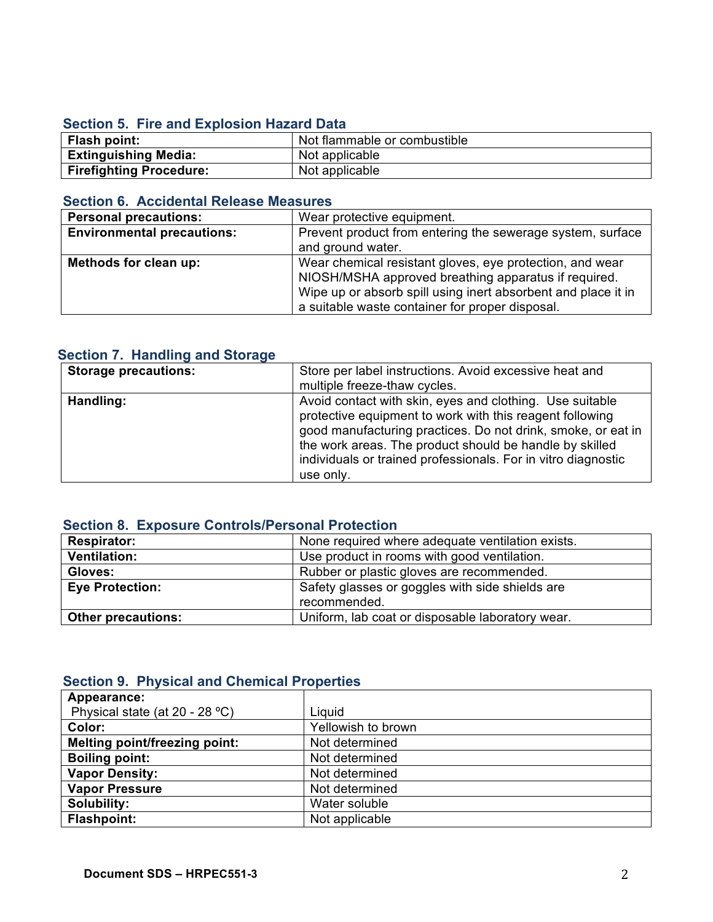### **Section 5. Fire and Explosion Hazard Data**

| <b>Flash point:</b>         | Not flammable or combustible |
|-----------------------------|------------------------------|
| <b>Extinguishing Media:</b> | Not applicable               |
| Firefighting Procedure:     | Not applicable               |

### **Section 6. Accidental Release Measures**

| <b>Personal precautions:</b>      | Wear protective equipment.                                    |
|-----------------------------------|---------------------------------------------------------------|
| <b>Environmental precautions:</b> | Prevent product from entering the sewerage system, surface    |
|                                   | and ground water.                                             |
| Methods for clean up:             | Wear chemical resistant gloves, eye protection, and wear      |
|                                   | NIOSH/MSHA approved breathing apparatus if required.          |
|                                   | Wipe up or absorb spill using inert absorbent and place it in |
|                                   | a suitable waste container for proper disposal.               |

### **Section 7. Handling and Storage**

| <b>Storage precautions:</b> | Store per label instructions. Avoid excessive heat and<br>multiple freeze-thaw cycles.                                                                                                                                                                                                                                        |
|-----------------------------|-------------------------------------------------------------------------------------------------------------------------------------------------------------------------------------------------------------------------------------------------------------------------------------------------------------------------------|
| Handling:                   | Avoid contact with skin, eyes and clothing. Use suitable<br>protective equipment to work with this reagent following<br>good manufacturing practices. Do not drink, smoke, or eat in<br>the work areas. The product should be handle by skilled<br>individuals or trained professionals. For in vitro diagnostic<br>use only. |

### **Section 8. Exposure Controls/Personal Protection**

| <b>Respirator:</b>        | None required where adequate ventilation exists. |
|---------------------------|--------------------------------------------------|
| <b>Ventilation:</b>       | Use product in rooms with good ventilation.      |
| Gloves:                   | Rubber or plastic gloves are recommended.        |
| <b>Eye Protection:</b>    | Safety glasses or goggles with side shields are  |
|                           | recommended.                                     |
| <b>Other precautions:</b> | Uniform, lab coat or disposable laboratory wear. |

### **Section 9. Physical and Chemical Properties**

| Appearance:                          |                    |
|--------------------------------------|--------------------|
| Physical state (at $20 - 28$ °C)     | Liquid             |
| Color:                               | Yellowish to brown |
| <b>Melting point/freezing point:</b> | Not determined     |
| <b>Boiling point:</b>                | Not determined     |
| <b>Vapor Density:</b>                | Not determined     |
| <b>Vapor Pressure</b>                | Not determined     |
| Solubility:                          | Water soluble      |
| <b>Flashpoint:</b>                   | Not applicable     |